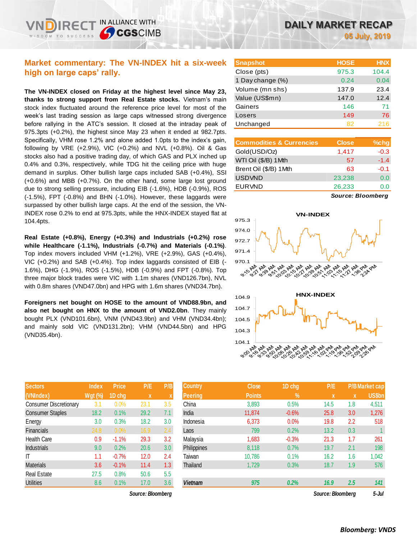IN ALLIANCE WITH

**SCGSCIMB** 

**The VN-INDEX closed on Friday at the highest level since May 23, thanks to strong support from Real Estate stocks.** Vietnam's main stock index fluctuated around the reference price level for most of the week's last trading session as large caps witnessed strong divergence before rallying in the ATC's session. It closed at the intraday peak of 975.3pts (+0.2%), the highest since May 23 when it ended at 982.7pts. Specifically, VHM rose 1.2% and alone added 1.0pts to the index's gain, following by VRE (+2.9%), VIC (+0.2%) and NVL (+0.8%). Oil & Gas stocks also had a positive trading day, of which GAS and PLX inched up 0.4% and 0.3%, respectively, while TDG hit the ceiling price with huge demand in surplus. Other bullish large caps included SAB (+0.4%), SSI (+0.6%) and MBB (+0.7%). On the other hand, some large lost ground due to strong selling pressure, including EIB (-1.6%), HDB (-0.9%), ROS (-1.5%), FPT (-0.8%) and BHN (-1.0%). However, these laggards were surpassed by other bullish large caps. At the end of the session, the VN-INDEX rose 0.2% to end at 975.3pts, while the HNX-INDEX stayed flat at 104.4pts.

**Real Estate (+0.8%), Energy (+0.3%) and Industrials (+0.2%) rose while Healthcare (-1.1%), Industrials (-0.7%) and Materials (-0.1%)**. Top index movers included VHM (+1.2%), VRE (+2.9%), GAS (+0.4%), VIC (+0.2%) and SAB (+0.4%). Top index laggards consisted of EIB (- 1.6%), DHG (-1.9%), ROS (-1.5%), HDB (-0.9%) and FPT (-0.8%). Top three major block trades were VIC with 1.1m shares (VND126.7bn), NVL with 0.8m shares (VND47.0bn) and HPG with 1.6m shares (VND34.7bn).

**Foreigners net bought on HOSE to the amount of VND88.9bn, and also net bought on HNX to the amount of VND2.0bn**. They mainly bought PLX (VND101.6bn), VNM (VND43.9bn) and VHM (VND34.4bn); and mainly sold VIC (VND131.2bn); VHM (VND44.5bn) and HPG (VND35.4bn).

| <b>Sectors</b>                | <b>Index</b> | <b>Price</b> | P/E  | P/B |
|-------------------------------|--------------|--------------|------|-----|
| (VNIndex)                     | $Wgt$ (%)    | 1D chg       | X    | X   |
| <b>Consumer Discretionary</b> | 3.1          | 0.0%         | 23.1 | 3.5 |
| <b>Consumer Staples</b>       | 18.2         | 0.1%         | 29.2 | 7.1 |
| Energy                        | 3.0          | 0.3%         | 18.2 | 3.0 |
| <b>Financials</b>             | 24.8         | 0.0%         | 16.9 | 2.4 |
| <b>Health Care</b>            | 0.9          | $-1.1%$      | 29.3 | 3.2 |
| <b>Industrials</b>            | 9.0          | 0.2%         | 20.6 | 3.0 |
| IT                            | 1.1          | $-0.7%$      | 12.0 | 2.4 |
| <b>Materials</b>              | 3.6          | $-0.1%$      | 11.4 | 1.3 |
| <b>Real Estate</b>            | 27.5         | 0.8%         | 50.6 | 5.5 |
| <b>Utilities</b>              | 8.6          | 0.1%         | 17.0 | 3.6 |

| <b>Snapshot</b>  | <b>HOSE</b> | <b>HNX</b> |
|------------------|-------------|------------|
| Close (pts)      | 975.3       | 104.4      |
| 1 Day change (%) | 0.24        | 0.04       |
| Volume (mn shs)  | 137.9       | 23.4       |
| Value (US\$mn)   | 147.0       | 12.4       |
| Gainers          | 146         | 71         |
| Losers           | 149         | 76         |
| Unchanged        | 82          | 216        |

| <b>Commodities &amp; Currencies</b> | <b>Close</b> | $%$ chg |
|-------------------------------------|--------------|---------|
| Gold(USD/Oz)                        | 1,417        | $-0.3$  |
| WTI Oil (\$/B) 1Mth                 | 57           | $-1.4$  |
| Brent Oil (\$/B) 1Mth               | 63           | $-0.1$  |
| <b>USDVND</b>                       | 23,238       | 0.0     |
| <b>EURVND</b>                       | 26,233       | 0.0     |
|                                     |              |         |

*Source: Bloomberg*

 $\sim$ 



| <b>Sectors</b>                | <b>Index</b> | <b>Price</b> | P/E         | P/B | <b>Country</b> | <b>Close</b>  | 1D chg        | P/E               |     | P/B Market cap |
|-------------------------------|--------------|--------------|-------------|-----|----------------|---------------|---------------|-------------------|-----|----------------|
| (VNIndex)                     | Wgt (%)      | 1D chg       | $\mathbf x$ | ⋏   | Peering        | <b>Points</b> | $\frac{9}{6}$ | $\mathbf{x}$      | x   | US\$bn         |
| <b>Consumer Discretionary</b> | 3.1          | 0.0%         | 23.1        | 3.5 | China          | 3,893         | 0.5%          | 14.5              | 1.8 | 4,511          |
| <b>Consumer Staples</b>       | 18.2         | 0.1%         | 29.2        | 7.1 | India          | 11.874        | $-0.6%$       | 25.8              | 3.0 | 1,276          |
| Energy                        | 3.0          | 0.3%         | 18.2        | 3.0 | Indonesia      | 6,373         | 0.0%          | 19.8              | 2.2 | 518            |
| Financials                    | 24.8         | 0.0%         | 16.9        | 2.4 | Laos           | 799           | 0.2%          | 13.2              | 0.3 |                |
| Health Care                   | 0.9          | $-1.1%$      | 29.3        | 3.2 | Malaysia       | 1,683         | $-0.3%$       | 21.3              | 1.7 | 261            |
| <b>Industrials</b>            | 9.0          | 0.2%         | 20.6        | 3.0 | Philippines    | 8,118         | 0.7%          | 19.7              | 2.1 | 198            |
| Т                             | 1.1          | $-0.7%$      | 12.0        | 2.4 | Taiwan         | 10,786        | 0.1%          | 16.2              | 1.6 | 1,042          |
| Materials                     | 3.6          | $-0.1%$      | 11.4        | 1.3 | Thailand       | 1,729         | 0.3%          | 18.7              | 1.9 | 576            |
| Real Estate                   | 27.5         | 0.8%         | 50.6        | 5.5 |                |               |               |                   |     |                |
| <b>Utilities</b>              | 8.6          | 0.1%         | 17.0        | 3.6 | <b>Vietnam</b> | 975           | 0.2%          | 16.9              | 2.5 | 141            |
| Source: Bloomberg             |              |              |             |     |                |               |               | Source: Bloomberg |     | $5 -$ Jul      |

 $e^{i\sigma}$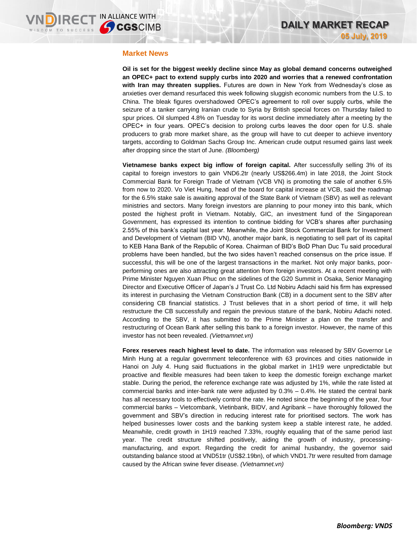### **Market News**

**Oil is set for the biggest weekly decline since May as global demand concerns outweighed an OPEC+ pact to extend supply curbs into 2020 and worries that a renewed confrontation with Iran may threaten supplies.** Futures are down in New York from Wednesday's close as anxieties over demand resurfaced this week following sluggish economic numbers from the U.S. to China. The bleak figures overshadowed OPEC's agreement to roll over supply curbs, while the seizure of a tanker carrying Iranian crude to Syria by British special forces on Thursday failed to spur prices. Oil slumped 4.8% on Tuesday for its worst decline immediately after a meeting by the OPEC+ in four years. OPEC's decision to prolong curbs leaves the door open for U.S. shale producers to grab more market share, as the group will have to cut deeper to achieve inventory targets, according to Goldman Sachs Group Inc. American crude output resumed gains last week after dropping since the start of June. *(Bloomberg)*

**Vietnamese banks expect big inflow of foreign capital.** After successfully selling 3% of its capital to foreign investors to gain VND6.2tr (nearly US\$266.4m) in late 2018, the Joint Stock Commercial Bank for Foreign Trade of Vietnam (VCB VN) is promoting the sale of another 6.5% from now to 2020. Vo Viet Hung, head of the board for capital increase at VCB, said the roadmap for the 6.5% stake sale is awaiting approval of the State Bank of Vietnam (SBV) as well as relevant ministries and sectors. Many foreign investors are planning to pour money into this bank, which posted the highest profit in Vietnam. Notably, GIC, an investment fund of the Singaporean Government, has expressed its intention to continue bidding for VCB's shares after purchasing 2.55% of this bank's capital last year. Meanwhile, the Joint Stock Commercial Bank for Investment and Development of Vietnam (BID VN), another major bank, is negotiating to sell part of its capital to KEB Hana Bank of the Republic of Korea. Chairman of BID's BoD Phan Duc Tu said procedural problems have been handled, but the two sides haven't reached consensus on the price issue. If successful, this will be one of the largest transactions in the market. Not only major banks, poorperforming ones are also attracting great attention from foreign investors. At a recent meeting with Prime Minister Nguyen Xuan Phuc on the sidelines of the G20 Summit in Osaka, Senior Managing Director and Executive Officer of Japan's J Trust Co. Ltd Nobiru Adachi said his firm has expressed its interest in purchasing the Vietnam Construction Bank (CB) in a document sent to the SBV after considering CB financial statistics. J Trust believes that in a short period of time, it will help restructure the CB successfully and regain the previous stature of the bank, Nobiru Adachi noted. According to the SBV, it has submitted to the Prime Minister a plan on the transfer and restructuring of Ocean Bank after selling this bank to a foreign investor. However, the name of this investor has not been revealed. *(Vietnamnet.vn)*

**Forex reserves reach highest level to date.** The information was released by SBV Governor Le Minh Hung at a regular government teleconference with 63 provinces and cities nationwide in Hanoi on July 4. Hung said fluctuations in the global market in 1H19 were unpredictable but proactive and flexible measures had been taken to keep the domestic foreign exchange market stable. During the period, the reference exchange rate was adjusted by 1%, while the rate listed at commercial banks and inter-bank rate were adjusted by 0.3% – 0.4%. He stated the central bank has all necessary tools to effectively control the rate. He noted since the beginning of the year, four commercial banks – Vietcombank, Vietinbank, BIDV, and Agribank – have thoroughly followed the government and SBV's direction in reducing interest rate for prioritised sectors. The work has helped businesses lower costs and the banking system keep a stable interest rate, he added. Meanwhile, credit growth in 1H19 reached 7.33%, roughly equaling that of the same period last year. The credit structure shifted positively, aiding the growth of industry, processingmanufacturing, and export. Regarding the credit for animal husbandry, the governor said outstanding balance stood at VND51tr (US\$2.19bn), of which VND1.7tr were resulted from damage caused by the African swine fever disease. *(Vietnamnet.vn)*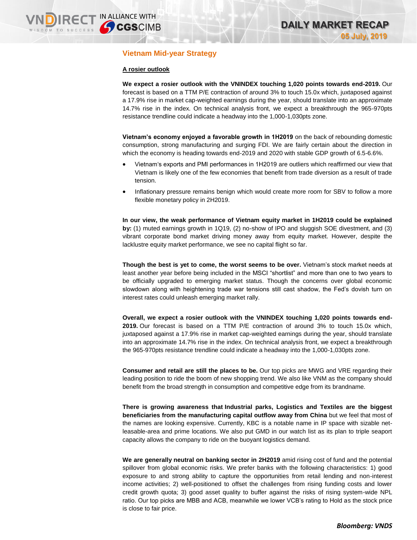## **Vietnam Mid-year Strategy**

### **A rosier outlook**

**We expect a rosier outlook with the VNINDEX touching 1,020 points towards end-2019.** Our forecast is based on a TTM P/E contraction of around 3% to touch 15.0x which, juxtaposed against a 17.9% rise in market cap-weighted earnings during the year, should translate into an approximate 14.7% rise in the index. On technical analysis front, we expect a breakthrough the 965-970pts resistance trendline could indicate a headway into the 1,000-1,030pts zone.

**Vietnam's economy enjoyed a favorable growth in 1H2019** on the back of rebounding domestic consumption, strong manufacturing and surging FDI. We are fairly certain about the direction in which the economy is heading towards end-2019 and 2020 with stable GDP growth of 6.5-6.6%.

- Vietnam's exports and PMI performances in 1H2019 are outliers which reaffirmed our view that Vietnam is likely one of the few economies that benefit from trade diversion as a result of trade tension.
- Inflationary pressure remains benign which would create more room for SBV to follow a more flexible monetary policy in 2H2019.

**In our view, the weak performance of Vietnam equity market in 1H2019 could be explained by:** (1) muted earnings growth in 1Q19, (2) no-show of IPO and sluggish SOE divestment, and (3) vibrant corporate bond market driving money away from equity market. However, despite the lacklustre equity market performance, we see no capital flight so far.

**Though the best is yet to come, the worst seems to be over.** Vietnam's stock market needs at least another year before being included in the MSCI "shortlist" and more than one to two years to be officially upgraded to emerging market status. Though the concerns over global economic slowdown along with heightening trade war tensions still cast shadow, the Fed's dovish turn on interest rates could unleash emerging market rally.

**Overall, we expect a rosier outlook with the VNINDEX touching 1,020 points towards end-2019.** Our forecast is based on a TTM P/E contraction of around 3% to touch 15.0x which, juxtaposed against a 17.9% rise in market cap-weighted earnings during the year, should translate into an approximate 14.7% rise in the index. On technical analysis front, we expect a breakthrough the 965-970pts resistance trendline could indicate a headway into the 1,000-1,030pts zone.

**Consumer and retail are still the places to be.** Our top picks are MWG and VRE regarding their leading position to ride the boom of new shopping trend. We also like VNM as the company should benefit from the broad strength in consumption and competitive edge from its brandname.

**There is growing awareness that Industrial parks, Logistics and Textiles are the biggest beneficiaries from the manufacturing capital outflow away from China** but we feel that most of the names are looking expensive. Currently, KBC is a notable name in IP space with sizable netleasable-area and prime locations. We also put GMD in our watch list as its plan to triple seaport capacity allows the company to ride on the buoyant logistics demand.

**We are generally neutral on banking sector in 2H2019** amid rising cost of fund and the potential spillover from global economic risks. We prefer banks with the following characteristics: 1) good exposure to and strong ability to capture the opportunities from retail lending and non-interest income activities; 2) well-positioned to offset the challenges from rising funding costs and lower credit growth quota; 3) good asset quality to buffer against the risks of rising system-wide NPL ratio. Our top picks are MBB and ACB, meanwhile we lower VCB's rating to Hold as the stock price is close to fair price.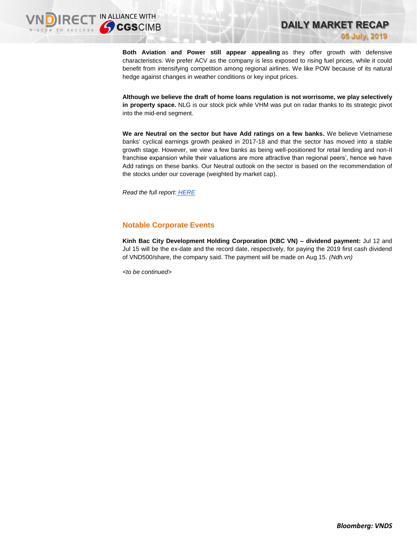**Both Aviation and Power still appear appealing** as they offer growth with defensive characteristics. We prefer ACV as the company is less exposed to rising fuel prices, while it could benefit from intensifying competition among regional airlines. We like POW because of its natural hedge against changes in weather conditions or key input prices.

**DAILY MARKET RECAP** 

**05 July, 2019**

**Although we believe the draft of home loans regulation is not worrisome, we play selectively in property space.** NLG is our stock pick while VHM was put on radar thanks to its strategic pivot into the mid-end segment.

**We are Neutral on the sector but have Add ratings on a few banks.** We believe Vietnamese banks' cyclical earnings growth peaked in 2017-18 and that the sector has moved into a stable growth stage. However, we view a few banks as being well-positioned for retail lending and non-II franchise expansion while their valuations are more attractive than regional peers', hence we have Add ratings on these banks. Our Neutral outlook on the sector is based on the recommendation of the stocks under our coverage (weighted by market cap).

*Read the full report: [HERE](https://nhanha-public-api.vndirect.com.vn/click/OGE0ODlmZDA2ODYwMjZlMjAxNjg5OGJlM2IzNDMxODU=/ZTE3ZmM1MmJiY2U5NGVmZDliNTZiNjA5MzU3ZjJhZjA=/e17fc52bbce94efd9b56b609357f2af0-Vietnam_Navigating_2H2019_20190705.pdf/cmVzZWFyY2hAdm5kaXJlY3QuY29tLnZu/NDExNg==)*

## **Notable Corporate Events**

**Kinh Bac City Development Holding Corporation (KBC VN) – dividend payment:** Jul 12 and Jul 15 will be the ex-date and the record date, respectively, for paying the 2019 first cash dividend of VND500/share, the company said. The payment will be made on Aug 15. *(Ndh.vn)*

*<to be continued>*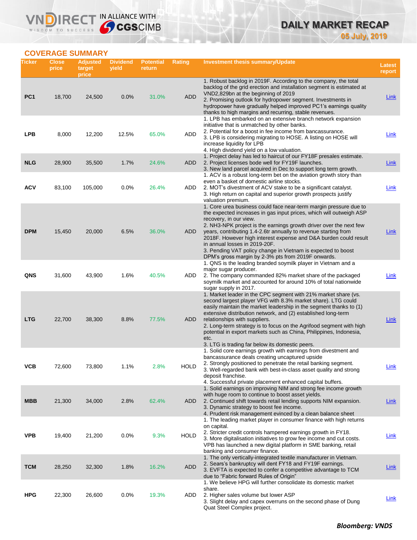# **DAILY MARKET RECAP 05 July, 2019**

## **COVERAGE SUMMARY**

WISDOM TO SUCCESS

VND

IRECT IN ALLIANCE WITH

| Ticker          | <b>Close</b><br>price | <b>Adjusted</b><br>target<br>price | <b>Dividend</b><br>yield | <b>Potential</b><br>return | Rating      | <b>Investment thesis summary/Update</b>                                                                                                                                                                                                                                                                                                                                                                                                                                                                                                | <b>Latest</b><br>report |
|-----------------|-----------------------|------------------------------------|--------------------------|----------------------------|-------------|----------------------------------------------------------------------------------------------------------------------------------------------------------------------------------------------------------------------------------------------------------------------------------------------------------------------------------------------------------------------------------------------------------------------------------------------------------------------------------------------------------------------------------------|-------------------------|
| PC <sub>1</sub> | 18,700                | 24,500                             | 0.0%                     | 31.0%                      | <b>ADD</b>  | 1. Robust backlog in 2019F. According to the company, the total<br>backlog of the grid erection and installation segment is estimated at<br>VND2,829bn at the beginning of 2019<br>2. Promising outlook for hydropower segment. Investments in<br>hydropower have gradually helped improved PC1's earnings quality                                                                                                                                                                                                                     | <b>Link</b>             |
| <b>LPB</b>      | 8,000                 | 12,200                             | 12.5%                    | 65.0%                      | ADD         | thanks to high margins and recurring, stable revenues.<br>1. LPB has embarked on an extensive branch network expansion<br>initiative that is unmatched by other banks.<br>2. Potential for a boost in fee income from bancassurance.<br>3. LPB is considering migrating to HOSE. A listing on HOSE will<br>increase liquidity for LPB<br>4. High dividend yield on a low valuation.                                                                                                                                                    | Link                    |
| <b>NLG</b>      | 28,900                | 35,500                             | 1.7%                     | 24.6%                      | ADD         | 1. Project delay has led to haircut of our FY18F presales estimate.<br>2. Project licenses bode well for FY19F launches.<br>3. New land parcel acquired in Dec to support long term growth.<br>1. ACV is a robust long-term bet on the aviation growth story than                                                                                                                                                                                                                                                                      | Link                    |
| <b>ACV</b>      | 83,100                | 105,000                            | 0.0%                     | 26.4%                      | ADD         | even a basket of domestic airline stocks.<br>2. MOT's divestment of ACV stake to be a significant catalyst.<br>3. High return on capital and superior growth prospects justify<br>valuation premium.                                                                                                                                                                                                                                                                                                                                   | <b>Link</b>             |
| <b>DPM</b>      | 15,450                | 20,000                             | 6.5%                     | 36.0%                      | ADD         | 1. Core urea business could face near-term margin pressure due to<br>the expected increases in gas input prices, which will outweigh ASP<br>recovery, in our view.<br>2. NH3-NPK project is the earnings growth driver over the next few<br>years, contributing 1.4-2.6tr annually to revenue starting from<br>2018F. However high interest expense and D&A burden could result<br>in annual losses in 2019-20F.<br>3. Pending VAT policy change in Vietnam is expected to boost<br>DPM's gross margin by 2-3% pts from 2019F onwards. | Link                    |
| QNS             | 31,600                | 43,900                             | 1.6%                     | 40.5%                      | ADD         | 1. QNS is the leading branded soymilk player in Vietnam and a<br>major sugar producer.<br>2. The company commanded 82% market share of the packaged<br>soymilk market and accounted for around 10% of total nationwide<br>sugar supply in 2017.                                                                                                                                                                                                                                                                                        | Link                    |
| <b>LTG</b>      | 22,700                | 38,300                             | 8.8%                     | 77.5%                      | ADD         | 1. Market leader in the CPC segment with 21% market share (vs.<br>second largest player VFG with 8.3% market share). LTG could<br>easily maintain the market leadership in the segment thanks to (1)<br>extensive distribution network, and (2) established long-term<br>relationships with suppliers.<br>2. Long-term strategy is to focus on the Agrifood segment with high<br>potential in export markets such as China, Philippines, Indonesia,<br>etc.<br>3. LTG is trading far below its domestic peers.                         | Link                    |
| ۷СВ             | 72,600                | 73,800                             | 1.1%                     | 2.8%                       | <b>HOLD</b> | 1. Solid core earnings growth with earnings from divestment and<br>bancassurance deals creating uncaptured upside<br>2. Strongly positioned to penetrate the retail banking segment.<br>3. Well-regarded bank with best-in-class asset quality and strong<br>deposit franchise.<br>4. Successful private placement enhanced capital buffers.                                                                                                                                                                                           | <b>Link</b>             |
| <b>MBB</b>      | 21,300                | 34,000                             | 2.8%                     | 62.4%                      | ADD         | 1. Solid earnings on improving NIM and strong fee income growth<br>with huge room to continue to boost asset yields.<br>2. Continued shift towards retail lending supports NIM expansion.<br>3. Dynamic strategy to boost fee income.<br>4. Prudent risk management evinced by a clean balance sheet                                                                                                                                                                                                                                   | <u>Link</u>             |
| <b>VPB</b>      | 19,400                | 21,200                             | 0.0%                     | 9.3%                       | <b>HOLD</b> | 1. The leading market player in consumer finance with high returns<br>on capital.<br>2. Stricter credit controls hampered earnings growth in FY18.<br>3. More digitalisation initiatives to grow fee income and cut costs.<br>VPB has launched a new digital platform in SME banking, retail<br>banking and consumer finance.                                                                                                                                                                                                          | <b>Link</b>             |
| <b>TCM</b>      | 28,250                | 32,300                             | 1.8%                     | 16.2%                      | <b>ADD</b>  | 1. The only vertically-integrated textile manufacturer in Vietnam.<br>2. Sears's bankruptcy will dent FY18 and FY19F earnings.<br>3. EVFTA is expected to confer a competitive advantage to TCM<br>due to "Fabric forward Rules of Origin"                                                                                                                                                                                                                                                                                             | <b>Link</b>             |
| <b>HPG</b>      | 22,300                | 26,600                             | 0.0%                     | 19.3%                      | ADD         | 1. We believe HPG will further consolidate its domestic market<br>share.<br>2. Higher sales volume but lower ASP<br>3. Slight delay and capex overruns on the second phase of Dung<br>Quat Steel Complex project.                                                                                                                                                                                                                                                                                                                      | <b>Link</b>             |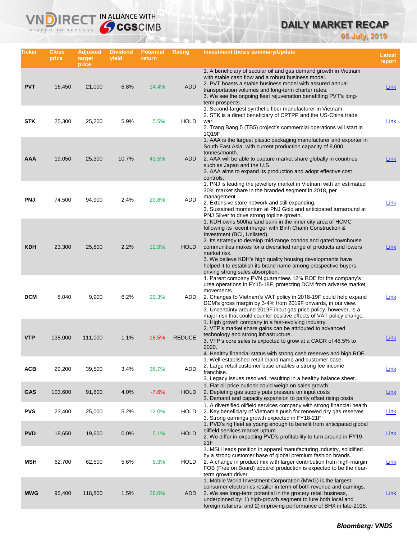# **DAILY MARKET RECAP**

**05 July, 2019**

| Ticker     | Close<br>price | <b>Adjusted</b><br>target<br>price | <b>Dividend</b><br>yield | <b>Potential</b><br>return | <b>Rating</b> | Investment thesis summary/Update                                                                                                                                                                                                                                                                                                                                                                                                                                                    | <b>Latest</b><br>report |
|------------|----------------|------------------------------------|--------------------------|----------------------------|---------------|-------------------------------------------------------------------------------------------------------------------------------------------------------------------------------------------------------------------------------------------------------------------------------------------------------------------------------------------------------------------------------------------------------------------------------------------------------------------------------------|-------------------------|
| <b>PVT</b> | 16,450         | 21,000                             | 6.8%                     | 34.4%                      | <b>ADD</b>    | 1. A beneficiary of secular oil and gas demand growth in Vietnam<br>with stable cash flow and a robust business model.<br>2. PVT boasts a stable business model with assured annual<br>transportation volumes and long-term charter rates.<br>3. We see the ongoing fleet rejuvenation benefitting PVT's long-<br>term prospects.                                                                                                                                                   | <b>Link</b>             |
| <b>STK</b> | 25,300         | 25,200                             | 5.9%                     | 5.5%                       | <b>HOLD</b>   | 1. Second-largest synthetic fiber manufacturer in Vietnam.<br>2. STK is a direct beneficiary of CPTPP and the US-China trade<br>war.<br>3. Trang Bang 5 (TB5) project's commercial operations will start in<br>1Q19F.                                                                                                                                                                                                                                                               | Link                    |
| AAA        | 19,050         | 25,300                             | 10.7%                    | 43.5%                      | <b>ADD</b>    | 1. AAA is the largest plastic packaging manufacturer and exporter in<br>South East Asia, with current production capacity of 8,000<br>tonnes/month.<br>2. AAA will be able to capture market share globally in countries<br>such as Japan and the U.S.<br>3. AAA aims to expand its production and adopt effective cost<br>controls.                                                                                                                                                | Link                    |
| <b>PNJ</b> | 74,500         | 94,900                             | 2.4%                     | 29.8%                      | ADD           | 1. PNJ is leading the jewellery market in Vietnam with an estimated<br>30% market share in the branded segment in 2018, per<br>management.<br>2. Extensive store network and still expanding.<br>3. Sustained momentum at PNJ Gold and anticipated turnaround at<br>PNJ Silver to drive strong topline growth.                                                                                                                                                                      | <b>Link</b>             |
| <b>KDH</b> | 23,300         | 25,800                             | 2.2%                     | 12.9%                      | <b>HOLD</b>   | 1. KDH owns 500ha land bank in the inner city area of HCMC<br>following its recent merger with Binh Chanh Construction &<br>Investment (BCI, Unlisted).<br>2. Its strategy to develop mid-range condos and gated townhouse<br>communities makes for a diversified range of products and lowers<br>market risk.<br>3. We believe KDH's high quality housing developments have<br>helped it to establish its brand name among prospective buyers,<br>driving strong sales absorption. | Link                    |
| <b>DCM</b> | 8,040          | 9,900                              | 6.2%                     | 29.3%                      | ADD           | 1. Parent company PVN guarantees 12% ROE for the company's<br>urea operations in FY15-18F, protecting DCM from adverse market<br>movements.<br>2. Changes to Vietnam's VAT policy in 2018-19F could help expand<br>DCM's gross margin by 3-4% from 2019F onwards, in our view.<br>3. Uncertainty around 2019F input gas price policy, however, is a<br>major risk that could counter positive effects of VAT policy change.                                                         | Link                    |
| <b>VTP</b> | 138,000        | 111,000                            | 1.1%                     | $-18.5%$                   | <b>REDUCE</b> | 1. High growth company in a fast-evolving industry.<br>2. VTP's market share gains can be attributed to advanced<br>technology and strong infrastructure.<br>3. VTP's core sales is expected to grow at a CAGR of 48.5% to<br>2020.<br>4. Healthy financial status with strong cash reserves and high ROE.                                                                                                                                                                          | Link                    |
| <b>ACB</b> | 29,200         | 39,500                             | 3.4%                     | 38.7%                      | ADD           | 1. Well-established retail brand name and customer base.<br>2. Large retail customer base enables a strong fee income<br>franchise.<br>3. Legacy issues resolved, resulting in a healthy balance sheet.                                                                                                                                                                                                                                                                             | <b>Link</b>             |
| <b>GAS</b> | 103,600        | 91,600                             | 4.0%                     | $-7.6%$                    | <b>HOLD</b>   | 1. Flat oil price outlook could weigh on sales growth<br>2. Depleting gas supply puts pressure on input costs<br>3. Demand and capacity expansion to partly offset rising costs                                                                                                                                                                                                                                                                                                     | Link                    |
| <b>PVS</b> | 23,400         | 25,000                             | 5.2%                     | 12.0%                      | <b>HOLD</b>   | 1. A diversified oilfield services company with strong financial health<br>2. Key beneficiary of Vietnam's push for renewed dry gas reserves<br>3. Strong earnings growth expected in FY18-21F                                                                                                                                                                                                                                                                                      | Link                    |
| <b>PVD</b> | 18,650         | 19,600                             | 0.0%                     | 5.1%                       | <b>HOLD</b>   | 1. PVD's rig fleet as young enough to benefit from anticipated global<br>oilfield services market upturn<br>2. We differ in expecting PVD's profitability to turn around in FY19-<br>21F                                                                                                                                                                                                                                                                                            | <b>Link</b>             |
| MSH        | 62,700         | 62,500                             | 5.6%                     | 5.3%                       | <b>HOLD</b>   | 1. MSH leads position in apparel manufacturing industry, solidified<br>by a strong customer base of global premium fashion brands.<br>2. A change in product mix with larger contribution from high-margin<br>FOB (Free on Board) apparel production is expected to be the near-<br>term growth driver.                                                                                                                                                                             | <b>Link</b>             |
| <b>MWG</b> | 95,400         | 118,800                            | 1.5%                     | 26.0%                      | ADD           | 1. Mobile World Investment Corporation (MWG) is the largest<br>consumer electronics retailer in term of both revenue and earnings.<br>2. We see long-term potential in the grocery retail business,<br>underpinned by: 1) high-growth segment to lure both local and<br>foreign retailers; and 2) improving performance of BHX in late-2018.                                                                                                                                        | <u>Link</u>             |

IN ALLIANCE WITH

Vľ

n

 $R \in C$ 

WISDOM TO SUCCESS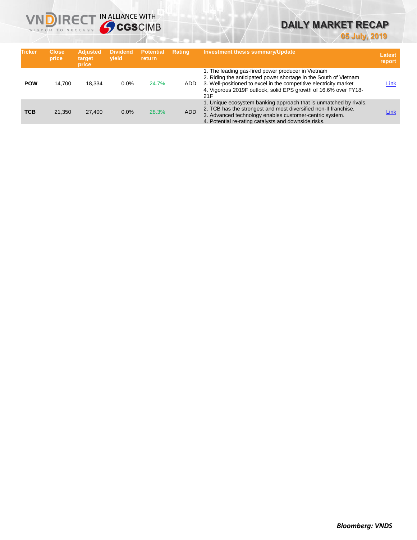

# **DAILY MARKET RECAP**

**05 July, 2019**

| <b>Ticker</b> | <b>Close</b><br>price | <b>Adjusted</b><br>target<br>price | <b>Dividend</b><br>vield | <b>Potential</b><br><b>return</b> | <b>Rating</b> | <b>Investment thesis summary/Update</b>                                                                                                                                                                                                                               | <b>Latest</b><br>report |
|---------------|-----------------------|------------------------------------|--------------------------|-----------------------------------|---------------|-----------------------------------------------------------------------------------------------------------------------------------------------------------------------------------------------------------------------------------------------------------------------|-------------------------|
| <b>POW</b>    | 14.700                | 18.334                             | $0.0\%$                  | 24.7%                             | ADD.          | 1. The leading gas-fired power producer in Vietnam<br>2. Riding the anticipated power shortage in the South of Vietnam<br>3. Well-positioned to excel in the competitive electricity market<br>4. Vigorous 2019F outlook, solid EPS growth of 16.6% over FY18-<br>21F | Link                    |
| <b>TCB</b>    | 21.350                | 27,400                             | 0.0%                     | 28.3%                             | <b>ADD</b>    | 1. Unique ecosystem banking approach that is unmatched by rivals.<br>2. TCB has the strongest and most diversified non-II franchise.<br>3. Advanced technology enables customer-centric system.<br>4. Potential re-rating catalysts and downside risks.               | Link                    |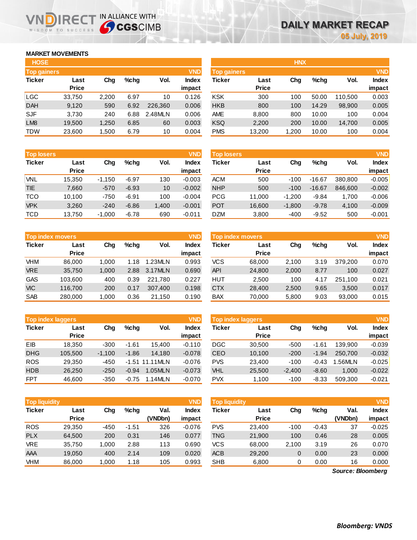### **MARKET MOVEMENTS**

WISDOM TO SUCCESS

| <b>HOSE</b>        |              |       |         |         |            |                    |              | <b>HNX</b> |         |         |            |
|--------------------|--------------|-------|---------|---------|------------|--------------------|--------------|------------|---------|---------|------------|
| <b>Top gainers</b> |              |       |         |         | <b>VND</b> | <b>Top gainers</b> |              |            |         |         | <b>VND</b> |
| <b>Ticker</b>      | Last         | Chg   | $%$ chq | Vol.    | Index      | <b>Ticker</b>      | Last         | Chg        | $%$ chq | Vol.    | Index      |
|                    | <b>Price</b> |       |         |         | impact     |                    | <b>Price</b> |            |         |         | impact     |
| <b>LGC</b>         | 33,750       | 2,200 | 6.97    | 10      | 0.126      | <b>KSK</b>         | 300          | 100        | 50.00   | 110.500 | 0.003      |
| <b>DAH</b>         | 9,120        | 590   | 6.92    | 226,360 | 0.006      | <b>HKB</b>         | 800          | 100        | 14.29   | 98,900  | 0.005      |
| <b>SJF</b>         | 3.730        | 240   | 6.88    | 2.48MLN | 0.006      | <b>AME</b>         | 8,800        | 800        | 10.00   | 100     | 0.004      |
| LM <sub>8</sub>    | 19,500       | 1,250 | 6.85    | 60      | 0.003      | <b>KSQ</b>         | 2,200        | 200        | 10.00   | 14,700  | 0.005      |
| <b>TDW</b>         | 23,600       | 500,  | 6.79    | 10      | 0.004      | <b>PMS</b>         | 13,200       | 1,200      | 10.00   | 100     | 0.004      |

**NDIRECT IN ALLIANCE WITH** 

| <b>HOSE</b>        |              |       |      |         |            |                    |              | <b>HNX</b> |         |         |              |
|--------------------|--------------|-------|------|---------|------------|--------------------|--------------|------------|---------|---------|--------------|
| <b>Top gainers</b> |              |       |      |         | <b>VND</b> | <b>Top gainers</b> |              |            |         |         | <b>VND</b>   |
| Ticker             | Last         | Chg   | %chg | Vol.    | Index      | <b>Ticker</b>      | Last         | Chg        | $%$ chg | Vol.    | <b>Index</b> |
|                    | <b>Price</b> |       |      |         | impact     |                    | <b>Price</b> |            |         |         | impact       |
| LGC                | 33,750       | 2,200 | 6.97 | 10      | 0.126      | <b>KSK</b>         | 300          | 100        | 50.00   | 110.500 | 0.003        |
| <b>DAH</b>         | 9,120        | 590   | 6.92 | 226,360 | 0.006      | <b>HKB</b>         | 800          | 100        | 14.29   | 98,900  | 0.005        |
| <b>SJF</b>         | 3,730        | 240   | 6.88 | 2.48MLN | 0.006      | <b>AME</b>         | 8,800        | 800        | 10.00   | 100     | 0.004        |
| LM <sub>8</sub>    | 19,500       | 1,250 | 6.85 | 60      | 0.003      | <b>KSQ</b>         | 2,200        | 200        | 10.00   | 14,700  | 0.005        |
| TDW                | 23,600       | 1,500 | 6.79 | 10      | 0.004      | <b>PMS</b>         | 13,200       | 1,200      | 10.00   | 100     | 0.004        |
|                    |              |       |      |         |            |                    |              |            |         |         |              |

| <b>Top losers</b> |              |          |         |       | <b>VND</b> | <b>Top losers</b> |              |          |          |         | <b>VND</b>   |
|-------------------|--------------|----------|---------|-------|------------|-------------------|--------------|----------|----------|---------|--------------|
| <b>Ticker</b>     | Last         | Chg      | %chq    | Vol.  | Index      | <b>Ticker</b>     | Last         | Chg      | $%$ chq  | Vol.    | <b>Index</b> |
|                   | <b>Price</b> |          |         |       | impact     |                   | <b>Price</b> |          |          |         | impact       |
| VNL               | 15,350       | $-1.150$ | $-6.97$ | 130   | $-0.003$   | <b>ACM</b>        | 500          | $-100$   | $-16.67$ | 380.800 | $-0.005$     |
| <b>TIE</b>        | 7.660        | $-570$   | $-6.93$ | 10    | $-0.002$   | <b>NHP</b>        | 500          | $-100$   | $-16.67$ | 846,600 | $-0.002$     |
| <b>TCO</b>        | 10,100       | $-750$   | $-6.91$ | 100   | $-0.004$   | <b>PCG</b>        | 11.000       | $-1.200$ | $-9.84$  | 1.700   | $-0.006$     |
| <b>VPK</b>        | 3,260        | $-240$   | $-6.86$ | 1,400 | $-0.001$   | <b>POT</b>        | 16,600       | $-1,800$ | $-9.78$  | 4,100   | $-0.009$     |
| <b>TCD</b>        | 13,750       | $-1,000$ | $-6.78$ | 690   | $-0.011$   | <b>DZM</b>        | 3,800        | $-400$   | $-9.52$  | 500     | $-0.001$     |

|               | <b>Top index movers</b> |       |      |         | <b>VND</b>   |
|---------------|-------------------------|-------|------|---------|--------------|
| <b>Ticker</b> | Last                    | Cha   | %chq | Vol.    | <b>Index</b> |
|               | <b>Price</b>            |       |      |         | impact       |
| <b>VHM</b>    | 86,000                  | 1,000 | 1.18 | 1.23MLN | 0.993        |
| <b>VRE</b>    | 35,750                  | 1,000 | 2.88 | 3.17MLN | 0.690        |
| <b>GAS</b>    | 103,600                 | 400   | 0.39 | 221,780 | 0.227        |
| <b>VIC</b>    | 116,700                 | 200   | 0.17 | 307,400 | 0.198        |
| <b>SAB</b>    | 280,000                 | 1,000 | 0.36 | 21,150  | 0.190        |

|               | <b>VND</b><br>Top index laggers |          |         |                   |          |               | Top index laggers |          |         |         | <b>VND</b> |
|---------------|---------------------------------|----------|---------|-------------------|----------|---------------|-------------------|----------|---------|---------|------------|
| <b>Ticker</b> | Last                            | Chg      | $%$ chq | Vol.              | Index    | <b>Ticker</b> | Last              | Chg      | %chq    | Vol.    | Index      |
|               | <b>Price</b>                    |          |         |                   | impact   |               | <b>Price</b>      |          |         |         | impact     |
| EIB           | 18.350                          | $-300$   | $-1.61$ | 15.400            | $-0.110$ | DGC           | 30,500            | $-500$   | $-1.61$ | 139.900 | $-0.039$   |
| <b>DHG</b>    | 105.500                         | $-1.100$ | $-1.86$ | 14.180            | $-0.078$ | CEO           | 10.100            | $-200$   | $-1.94$ | 250,700 | $-0.032$   |
| <b>ROS</b>    | 29.350                          | $-450$   |         | $-1.51$ 11.11 MLN | $-0.076$ | <b>PVS</b>    | 23.400            | $-100$   | $-0.43$ | 1.56MLN | $-0.025$   |
| <b>HDB</b>    | 26,250                          | $-250$   | $-0.94$ | 1.05MLN           | $-0.073$ | <b>VHL</b>    | 25,500            | $-2.400$ | $-8.60$ | 1.000   | $-0.022$   |
| <b>FPT</b>    | 46,600                          | $-350$   | $-0.75$ | 1.14MLN           | $-0.070$ | <b>PVX</b>    | 1,100             | $-100$   | $-8.33$ | 509.300 | $-0.021$   |

| Top index movers |              |       |         |         | <b>VND</b>   | <b>VND</b><br><b>Top index movers</b> |              |       |         |         |              |  |
|------------------|--------------|-------|---------|---------|--------------|---------------------------------------|--------------|-------|---------|---------|--------------|--|
| Ticker           | Last         | Chg   | $%$ chq | Vol.    | <b>Index</b> | Ticker                                | Last         | Chg   | $%$ chq | Vol.    | <b>Index</b> |  |
|                  | <b>Price</b> |       |         |         | impact       |                                       | <b>Price</b> |       |         |         | impact       |  |
| VHM              | 86,000       | 1.000 | 1.18    | 1.23MLN | 0.993        | <b>VCS</b>                            | 68,000       | 2,100 | 3.19    | 379.200 | 0.070        |  |
| <b>VRE</b>       | 35,750       | 1.000 | 2.88    | 3.17MLN | 0.690        | <b>API</b>                            | 24,800       | 2,000 | 8.77    | 100     | 0.027        |  |
| GAS              | 103,600      | 400   | 0.39    | 221.780 | 0.227        | HUT                                   | 2,500        | 100   | 4.17    | 251.100 | 0.021        |  |
| <b>VIC</b>       | 116.700      | 200   | 0.17    | 307.400 | 0.198        | <b>CTX</b>                            | 28,400       | 2,500 | 9.65    | 3,500   | 0.017        |  |
| SAB              | 280,000      | 1.000 | 0.36    | 21.150  | 0.190        | <b>BAX</b>                            | 70.000       | 5.800 | 9.03    | 93,000  | 0.015        |  |

|            | <b>Top index laggers</b> |          |         |                   | <b>VND</b>   | <b>VND</b><br>Top index laggers |              |          |         |         |              |  |
|------------|--------------------------|----------|---------|-------------------|--------------|---------------------------------|--------------|----------|---------|---------|--------------|--|
| Ticker     | Last                     | Chg      | %chq    | Vol.              | <b>Index</b> | Ticker                          | Last         | Chg      | $%$ chq | Vol.    | <b>Index</b> |  |
|            | <b>Price</b>             |          |         |                   | impact       |                                 | <b>Price</b> |          |         |         | impact       |  |
| EIB        | 18.350                   | $-300$   | $-1.61$ | 15.400            | $-0.110$     | <b>DGC</b>                      | 30,500       | -500     | $-1.61$ | 139.900 | $-0.039$     |  |
| <b>DHG</b> | 105.500                  | $-1.100$ | $-1.86$ | 14.180            | $-0.078$     | <b>CEO</b>                      | 10.100       | $-200$   | $-1.94$ | 250.700 | $-0.032$     |  |
| <b>ROS</b> | 29.350                   | $-450$   |         | $-1.51$ 11.11 MLN | $-0.076$     | <b>PVS</b>                      | 23.400       | $-100$   | $-0.43$ | .56MLN  | $-0.025$     |  |
| <b>HDB</b> | 26,250                   | $-250$   | $-0.94$ | 1.05MLN           | $-0.073$     | <b>VHL</b>                      | 25,500       | $-2.400$ | $-8.60$ | 1.000   | $-0.022$     |  |
| <b>FPT</b> | 46,600                   | $-350$   | $-0.75$ | 1.14MLN           | $-0.070$     | <b>PVX</b>                      | 1.100        | $-100$   | $-8.33$ | 509.300 | $-0.021$     |  |

| <b>Top liquidity</b> |                      |        |         |                 | <b>VND</b>             | <b>VND</b><br>Top liquidity |                      |        |         |                   |                        |  |
|----------------------|----------------------|--------|---------|-----------------|------------------------|-----------------------------|----------------------|--------|---------|-------------------|------------------------|--|
| <b>Ticker</b>        | Last<br><b>Price</b> | Chg    | $%$ chq | Val.<br>(VNDbn) | <b>Index</b><br>impact | <b>Ticker</b>               | Last<br><b>Price</b> | Chg    | $%$ chq | Val.<br>(VNDbn)   | <b>Index</b><br>impact |  |
| <b>ROS</b>           | 29,350               | $-450$ | $-1.51$ | 326             | $-0.076$               | <b>PVS</b>                  | 23.400               | $-100$ | $-0.43$ | 37                | $-0.025$               |  |
| <b>PLX</b>           | 64,500               | 200    | 0.31    | 146             | 0.077                  | TNG                         | 21,900               | 100    | 0.46    | 28                | 0.005                  |  |
| <b>VRE</b>           | 35,750               | 1.000  | 2.88    | 113             | 0.690                  | VCS                         | 68,000               | 2,100  | 3.19    | 26                | 0.070                  |  |
| AAA                  | 19,050               | 400    | 2.14    | 109             | 0.020                  | <b>ACB</b>                  | 29,200               | 0      | 0.00    | 23                | 0.000                  |  |
| <b>VHM</b>           | 86,000               | 1,000  | 1.18    | 105             | 0.993                  | <b>SHB</b>                  | 6,800                | 0      | 0.00    | 16                | 0.000                  |  |
|                      |                      |        |         |                 |                        |                             |                      |        |         | Source: Bloomberg |                        |  |

*Source: Bloomberg*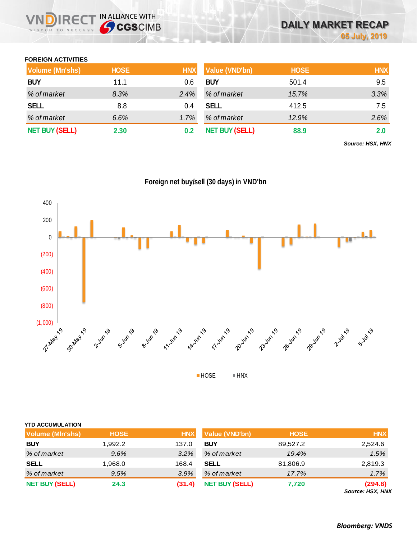

**05 July, 2019**

**DAILY MARKET RECAP** 



**Volume (Mn'shs) HOSE HNX Value (VND'bn) HOSE HNX BUY** 11.1 0.6 **BUY** 501.4 9.5

**VNDIRECT IN ALLIANCE WITH** 

**FOREIGN ACTIVITIES**

WISDOM TO SUCCESS





|  | <b>YTD ACCUMULATION</b> |  |  |  |
|--|-------------------------|--|--|--|
|  |                         |  |  |  |

| <b>Volume (MIn'shs)</b> | <b>HOSE</b> | <b>HNX</b> | <b>Value (VND'bn)</b> | <b>HOSE</b> | <b>HNX</b>                  |
|-------------------------|-------------|------------|-----------------------|-------------|-----------------------------|
| <b>BUY</b>              | 1,992.2     | 137.0      | <b>BUY</b>            | 89,527.2    | 2,524.6                     |
| % of market             | 9.6%        | 3.2%       | % of market           | 19.4%       | 1.5%                        |
| <b>SELL</b>             | 1,968.0     | 168.4      | <b>SELL</b>           | 81,806.9    | 2,819.3                     |
| % of market             | 9.5%        | 3.9%       | % of market           | 17.7%       | 1.7%                        |
| <b>NET BUY (SELL)</b>   | 24.3        | (31.4)     | <b>NET BUY (SELL)</b> | 7,720       | (294.8)<br>Source: HSX, HNX |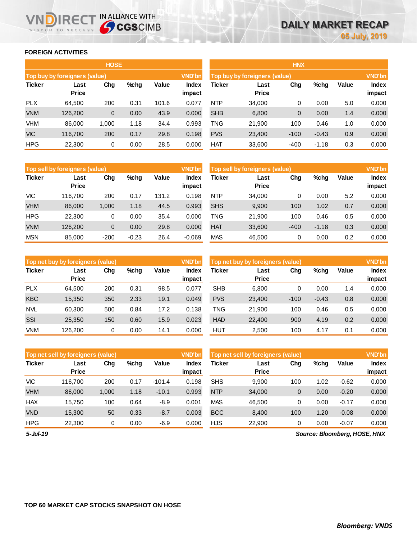## **FOREIGN ACTIVITIES**

WISDOM TO SUCCESS

IRECT IN ALLIANCE WITH

|               |                               | <b>HOSE</b> |         |       |                        | <b>HNX</b>                                     |                      |        |         |       |                        |  |
|---------------|-------------------------------|-------------|---------|-------|------------------------|------------------------------------------------|----------------------|--------|---------|-------|------------------------|--|
|               | Top buy by foreigners (value) |             |         |       | <b>VND'bn</b>          | <b>VND'bn</b><br>Top buy by foreigners (value) |                      |        |         |       |                        |  |
| <b>Ticker</b> | Last<br><b>Price</b>          | Chg         | $%$ chg | Value | <b>Index</b><br>impact | <b>Ticker</b>                                  | Last<br><b>Price</b> | Chg    | %chg    | Value | <b>Index</b><br>impact |  |
| <b>PLX</b>    | 64,500                        | 200         | 0.31    | 101.6 | 0.077                  | <b>NTP</b>                                     | 34,000               | 0      | 0.00    | 5.0   | 0.000                  |  |
| <b>VNM</b>    | 126,200                       | 0           | 0.00    | 43.9  | 0.000                  | <b>SHB</b>                                     | 6,800                | 0      | 0.00    | 1.4   | 0.000                  |  |
| VHM           | 86,000                        | 1,000       | 1.18    | 34.4  | 0.993                  | TNG                                            | 21,900               | 100    | 0.46    | 1.0   | 0.000                  |  |
| <b>VIC</b>    | 116.700                       | 200         | 0.17    | 29.8  | 0.198                  | <b>PVS</b>                                     | 23,400               | $-100$ | $-0.43$ | 0.9   | 0.000                  |  |
| <b>HPG</b>    | 22,300                        | 0           | 0.00    | 28.5  | 0.000                  | <b>HAT</b>                                     | 33,600               | $-400$ | $-1.18$ | 0.3   | 0.000                  |  |

|               | Top sell by foreigners (value) |        |         |       | <b>VND'bn</b>   | Top sell by foreigners (value) |                      |        |         |       |                 |
|---------------|--------------------------------|--------|---------|-------|-----------------|--------------------------------|----------------------|--------|---------|-------|-----------------|
| <b>Ticker</b> | Last<br><b>Price</b>           | Chg    | %chg    | Value | Index<br>impact | Ticker                         | Last<br><b>Price</b> | Chg    | %chg    | Value | Index<br>impact |
| <b>VIC</b>    | 116.700                        | 200    | 0.17    | 131.2 | 0.198           | <b>NTP</b>                     | 34,000               | 0      | 0.00    | 5.2   | 0.000           |
| <b>VHM</b>    | 86,000                         | 1,000  | 1.18    | 44.5  | 0.993           | <b>SHS</b>                     | 9,900                | 100    | 1.02    | 0.7   | 0.000           |
| <b>HPG</b>    | 22.300                         | 0      | 0.00    | 35.4  | 0.000           | TNG                            | 21.900               | 100    | 0.46    | 0.5   | 0.000           |
| <b>VNM</b>    | 126.200                        | 0      | 0.00    | 29.8  | 0.000           | <b>HAT</b>                     | 33,600               | $-400$ | $-1.18$ | 0.3   | 0.000           |
| <b>MSN</b>    | 85,000                         | $-200$ | $-0.23$ | 26.4  | $-0.069$        | <b>MAS</b>                     | 46,500               | 0      | 0.00    | 0.2   | 0.000           |

|               | <b>VND'bn</b><br>Top net buy by foreigners (value) |     |         |       |                        |            | Top net buy by foreigners (value) |        |         |       |                        |  |
|---------------|----------------------------------------------------|-----|---------|-------|------------------------|------------|-----------------------------------|--------|---------|-------|------------------------|--|
| <b>Ticker</b> | Last<br><b>Price</b>                               | Chg | $%$ chq | Value | <b>Index</b><br>impact | Ticker     | Last<br><b>Price</b>              | Chg    | %chg    | Value | <b>Index</b><br>impact |  |
| <b>PLX</b>    | 64.500                                             | 200 | 0.31    | 98.5  | 0.077                  | <b>SHB</b> | 6,800                             | 0      | 0.00    | 1.4   | 0.000                  |  |
| <b>KBC</b>    | 15,350                                             | 350 | 2.33    | 19.1  | 0.049                  | <b>PVS</b> | 23,400                            | $-100$ | $-0.43$ | 0.8   | 0.000                  |  |
| <b>NVL</b>    | 60.300                                             | 500 | 0.84    | 17.2  | 0.138                  | TNG        | 21.900                            | 100    | 0.46    | 0.5   | 0.000                  |  |
| SSI           | 25,350                                             | 150 | 0.60    | 15.9  | 0.023                  | <b>HAD</b> | 22,400                            | 900    | 4.19    | 0.2   | 0.000                  |  |
| <b>VNM</b>    | 126.200                                            | 0   | 0.00    | 14.1  | 0.000                  | HUT        | 2.500                             | 100    | 4.17    | 0.1   | 0.000                  |  |

|               | Top net sell by foreigners (value) |       |         |          | <b>VND'bn</b>   | Top net sell by foreigners (value) |                      |     |      |         |                        |
|---------------|------------------------------------|-------|---------|----------|-----------------|------------------------------------|----------------------|-----|------|---------|------------------------|
| <b>Ticker</b> | Last<br><b>Price</b>               | Chg   | $%$ chg | Value    | Index<br>impact | Ticker                             | Last<br><b>Price</b> | Chg | %chg | Value   | <b>Index</b><br>impact |
| <b>VIC</b>    | 116.700                            | 200   | 0.17    | $-101.4$ | 0.198           | <b>SHS</b>                         | 9.900                | 100 | 1.02 | $-0.62$ | 0.000                  |
| <b>VHM</b>    | 86,000                             | 1,000 | 1.18    | $-10.1$  | 0.993           | <b>NTP</b>                         | 34,000               | 0   | 0.00 | $-0.20$ | 0.000                  |
| <b>HAX</b>    | 15.750                             | 100   | 0.64    | -8.9     | 0.001           | <b>MAS</b>                         | 46,500               | 0   | 0.00 | $-0.17$ | 0.000                  |
| <b>VND</b>    | 15,300                             | 50    | 0.33    | $-8.7$   | 0.003           | <b>BCC</b>                         | 8,400                | 100 | 1.20 | $-0.08$ | 0.000                  |
| <b>HPG</b>    | 22,300                             | 0     | 0.00    | $-6.9$   | 0.000           | <b>HJS</b>                         | 22,900               | 0   | 0.00 | $-0.07$ | 0.000                  |

*5-Jul-19*

*Source: Bloomberg, HOSE, HNX*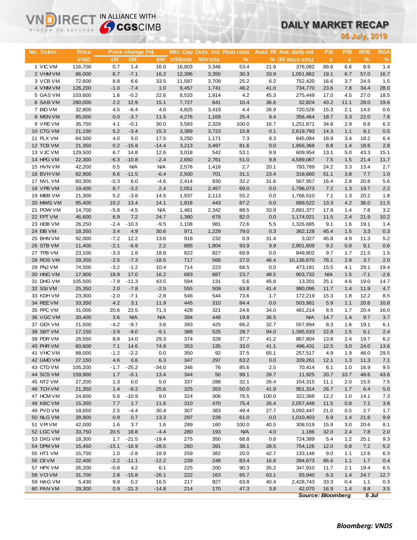# **DAILY MARKET RECAP**

| WISDOM TO SUCCESS      |                            | <b>Sy CGS</b> CIMB |                        |                  |                |                                 |               |              | UAILT MARNET RECAP                              |                          |                  |               |                    |
|------------------------|----------------------------|--------------------|------------------------|------------------|----------------|---------------------------------|---------------|--------------|-------------------------------------------------|--------------------------|------------------|---------------|--------------------|
|                        |                            |                    |                        |                  |                |                                 |               |              |                                                 |                          |                  | 05 July, 2019 |                    |
|                        |                            |                    |                        |                  |                | Mkt. Cap Outs. Vol. Float ratio |               |              |                                                 |                          | P/B              | <b>ROE</b>    |                    |
| No. Ticker             | <b>Price</b><br><b>VND</b> | 1 <sub>M</sub>     | Price change (%)<br>3M | 6M               | <b>US\$mln</b> | <b>MIn'shs</b>                  | %             |              | Avail. Fil Ave. daily vol.<br>$% (30 days-shs)$ | P/E<br>$\pmb{\chi}$      | $\boldsymbol{x}$ | $\%$          | <b>ROA</b><br>$\%$ |
| 1 VIC VM               | 116,700                    | 0.7                | 1.4                    | 16.0             | 16,803         | 3,346                           | 53.4          | 21.9         | 376,082                                         | 89.6                     | 6.6              | 8.9           | 1.4                |
| 2 VHM VM               | 86,000                     | 6.7                | $-7.1$                 | 16.2             | 12,396         | 3,350                           | 30.3          | 33.9         | 1,051,862                                       | 19.1                     | 6.7              | 57.0          | 16.7               |
| 3 VCB VM               | 72,600                     | 8.8                | 6.6                    | 33.5             | 11,587         | 3,709                           | 25.2          | 6.2          | 752,420                                         | 16.6                     | 3.7              | 24.5          | 1.5                |
| 4 VNM VM               | 126,200                    | $-1.0$             | $-7.4$                 | 1.0              | 9,457          | 1,741                           | 46.2          | 41.0         | 734,770                                         | 23.6                     | 7.8              | 34.4          | 28.0               |
| 5 GAS VM               | 103,600                    | 1.6                | $-0.2$                 | 22.6             | 8,533          | 1,914                           | 4.2           | 45.3         | 275,449                                         | 17.0                     | 4.5              | 27.0          | 18.5               |
| 6 SAB VM               | 280,000                    | 2.2                | 12.9                   | 15.1             | 7,727          | 641                             | 10.4          | 36.6         | 32,824                                          | 43.2                     | 11.1             | 28.0          | 19.6               |
| 7 BID VM<br>8 MSN VM   | 32,800                     | 4.5<br>0.0         | $-6.4$                 | 4.0              | 4,825          | 3,419                           | 4.4           | 26.9         | 720,526                                         | 15.3<br>18.7             | 2.1              | 14.5<br>22.0  | 0.6                |
| 9 VREVM                | 85,000<br>35,750           | 4.1                | $-3.7$<br>$-0.1$       | 11.5<br>30.0     | 4,276<br>3,583 | 1,169<br>2,329                  | 25.4<br>100.0 | 8.4<br>16.7  | 356,464<br>1,251,871                            | 34.6                     | 3.3<br>2.9       | 8.8           | 7.8<br>6.3         |
| 10 CTG VM              | 21,150                     | 5.2                | $-3.4$                 | 15.3             | 3,389          | 3,723                           | 15.8          | 0.1          | 2,619,793                                       | 14.3                     | 1.1              | 8.1           | 0.5                |
| 11 PLX VM              | 64,500                     | 4.0                | 5.0                    | 17.5             | 3,250          | 1,171                           | 7.3           | 8.3          | 645,084                                         | 18.9                     | 3.4              | 18.2          | 6.4                |
| 12 TCB VM              | 21,350                     | 0.2                | $-15.9$                | $-14.4$          | 3,213          | 3,497                           | 81.6          | 0.0          | 1,956,368                                       | 8.8                      | 1.4              | 18.6          | 2.8                |
| 13 VJC VM              | 129,500                    | 6.7                | 14.8                   | 12.6             | 3,018          | 542                             | 53.1          | 9.9          | 609,954                                         | 13.1                     | 5.0              | 43.3          | 15.1               |
| 14 HPG VM              | 22,300                     | $-6.3$             | $-10.8$                | $-2.4$           | 2,650          | 2,761                           | 51.0          | 9.8          | 4,589,067                                       | 7.5                      | 1.5              | 21.4          | 11.7               |
| 15 HVN VM              | 42,200                     | 0.5                | <b>N/A</b>             | <b>N/A</b>       | 2,576          | 1,418                           | 2.7           | 20.1         | 793,789                                         | 24.2                     | 3.3              | 13.4          | 2.7                |
| 16 BVH VM              | 82,900                     | 6.6                | $-11.5$                | $-6.4$           | 2,500          | 701                             | 31.1          | 23.4         | 318,660                                         | 51.1                     | 3.8              | 7.7           | 1.0                |
| 17 NVL VM              | 60,300                     | $-0.3$             | 6.0                    | $-4.6$           | 2,414          | 930                             | 32.2          | 31.6         | 567,957                                         | 16.4                     | 2.8              | 20.8          | 5.6                |
| 18 VPB VM              | 19,400                     | 8.7                | $-3.2$                 | 2.4              | 2,051          | 2,457                           | 69.0          | 0.0          | 1,796,073                                       | 7.2                      | 1.3              | 19.7          | 2.2                |
| 19 MBB VM<br>20 MWG VM | 21,300<br>95,400           | 5.2<br>10.2        | $-3.8$<br>13.4         | 14.5<br>14.1     | 1,937<br>1,818 | 2,113<br>443                    | 55.2<br>87.2  | 0.0<br>0.0   | 1,766,510<br>689,522                            | 7.1<br>13.3              | 1.3<br>4.2       | 20.2<br>36.0  | 1.8<br>11.5        |
| 21 POW VM              | 14,700                     | $-5.8$             | $-4.5$                 | <b>N/A</b>       | 1,481          | 2,342                           | 88.5          | 33.9         | 2,881,377                                       | 17.9                     | 1.4              | 7.8           | 3.2                |
| 22 FPT VM              | 46,600                     | 6.9                | 7.2                    | 24.7             | 1,360          | 678                             | 82.0          | 0.0          | 1,174,021                                       | 11.5                     | 2.4              | 21.9          | 10.2               |
| 23 HDB VM              | 26,250                     | $-2.4$             | $-10.3$                | $-9.5$           | 1,108          | 981                             | 72.6          | 5.5          | 1,326,685                                       | 9.1                      | 1.6              | 19.1          | 1.4                |
| 24 EIB VM              | 18,350                     | 3.4                | 4.9                    | 30.6             | 971            | 1,229                           | 79.0          | 0.3          | 362,128                                         | 45.4                     | 1.5              | 3.3           | 0.3                |
| 25 BHN VM              | 92,000                     | $-7.2$             | 12.2                   | 13.6             | 918            | 232                             | 0.9           | 31.4         | 3,027                                           | 45.8                     | 4.9              | 11.3          | 5.2                |
| 26 STB VM              | 11,400                     | $-2.1$             | $-6.9$                 | 2.2              | 885            | 1,804                           | 93.9          | 9.9          | 2,901,609                                       | 9.2                      | 0.8              | 9.1           | 0.6                |
| 27 TPB VM              | 23,100                     | $-3.3$             | 1.8                    | 18.8             | 822            | 827                             | 69.8          | 0.0          | 849,802                                         | 9.7                      | 1.7              | 21.5          | 1.5                |
| 28 ROS VM              | 29,350                     | $-2.5$             | $-7.3$                 | $-18.5$          | 717            | 568                             | 27.0          | 46.4         | 10,136,870                                      | 78.1                     | 2.8              | 3.7           | 2.0                |
| 29 PNJ VM              | 74,500                     | $-3.2$             | $-1.2$                 | 10.4             | 714            | 223                             | 68.5          | 0.0          | 473,191                                         | 15.5                     | 4.1              | 29.1          | 19.4               |
| 30 HNG VM              | 17,900                     | 18.9               | 17.0                   | 16.2             | 683            | 887                             | 23.7          | 48.5         | 903,732                                         | <b>N/A</b>               | 1.5              | $-7.1$        | $-2.6$             |
| 31 DHG VM              | 105,500                    | $-7.9$             | $-11.3$                | 43.5             | 594            | 131                             | 5.6           | 45.8         | 13,201                                          | 25.1                     | 4.6              | 19.0          | 14.7               |
| 32 SSIVM<br>33 KDH VM  | 25,350<br>23,300           | 2.0<br>$-2.0$      | $-7.8$<br>$-7.1$       | $-2.5$<br>$-2.8$ | 555<br>546     | 509<br>544                      | 63.8<br>73.6  | 41.4<br>1.7  | 980,096<br>172,219                              | 11.7<br>15.3             | 1.4<br>1.8       | 11.9<br>12.2  | 4.7<br>8.5         |
| 34 REE VM              | 33,350                     | 4.2                | 3.1                    | 11.9             | 445            | 310                             | 84.4          | 0.0          | 503,981                                         | 5.9                      | 1.1              | 20.6          | 10.8               |
| 35 PPC VM              | 31,000                     | 20.6               | 22.5                   | 71.3             | 428            | 321                             | 24.6          | 34.0         | 481,214                                         | 8.5                      | 1.7              | 20.4          | 16.0               |
| 36 VGC VM              | 20,400                     | 3.6                | <b>N/A</b>             | <b>N/A</b>       | 394            | 448                             | 19.8          | 36.5         | <b>N/A</b>                                      | 14.7                     | 1.4              | 9.7           | 3.7                |
| 37 GEX VM              | 21,500                     | $-4.2$             | $-9.7$                 | 3.6              | 393            | 425                             | 66.2          | 32.7         | 557,894                                         | 8.3                      | 1.6              | 19.1          | 6.1                |
| 38 SBT VM              | 17,150                     | $-3.9$             | $-9.0$                 | $-9.1$           | 388            | 525                             | 28.7          | 94.0         | 1,395,533                                       | 22.8                     | 1.5              | 6.1           | 2.4                |
| 39 PDR VM              | 26,550                     | 8.8                | 14.0                   | 29.3             | 374            | 328                             | 37.7          | 41.2         | 867,804                                         | 13.8                     | 2.4              | 19.7          | 6.2                |
| 40 PHR VM              | 60,600                     | 7.1                | 14.6                   | 74.9             | 353            | 135                             | 33.0          | 41.1         | 496,431                                         | 12.5                     | 3.0              | 24.0          | 13.6               |
| 41 VHC VM              | 88,000                     | $-1.2$             | $-2.2$                 | 0.0              | 350            | 92                              | 37.5          | 65.1         | 257,517                                         | 4.9                      | 1.9              | 46.0          | 29.5               |
| 42 GMD VM              | 27,150                     | 4.6                | $0.6\,$                | 6.3              | 347            | 297                             | 63.2          | 0.0          | 339,261                                         | 12.1                     | 1.3              | 11.3          | 7.1                |
| 43 CTD VM<br>44 SCS VM | 105,200<br>159,900         | $-1.7$<br>1.7      | $-25.2$<br>$-0.1$      | $-34.0$<br>13.4  | 346<br>344     | 76<br>50                        | 85.6<br>99.1  | 2.5<br>28.7  | 70,414<br>11,925                                | 6.1<br>20.7              | 1.0<br>10.7      | 16.9<br>48.6  | 9.5<br>43.6        |
| 45 NT2 VM              | 27,200                     | 1.3                | 0.0                    | 5.0              | 337            | 288                             | 32.1          | 26.4         | 154,315                                         | 11.1                     | 2.0              | 15.5          | 7.5                |
| 46 TCH VM              | 21,350                     | 1.4                | $-8.2$                 | 25.6             | 325            | 353                             | 50.0          | 41.9         | 951,314                                         | 26.7                     | 1.7              | 6.4           | $5.0\,$            |
| 47 HCM VM              | 24,600                     | 5.6                | $-10.9$                | 9.0              | 324            | 306                             | 76.5          | 100.0        | 322,368                                         | 12.2                     | 1.0              | 14.1          | 7.3                |
| 48 KBC VM              | 15,350                     | 7.7                | 1.7                    | 11.6             | 310            | 470                             | 75.4          | 26.4         | 2,057,448                                       | 11.5                     | 0.8              | 7.1           | $3.8\,$            |
| 49 PVD VM              | 18,650                     | 2.5                | $-4.4$                 | 30.4             | 307            | 383                             | 49.4          | 27.7         | 3,092,447                                       | 21.0                     | 0.5              | 2.7           | 1.7                |
| 50 NLG VM              | 28,900                     | 0.9                | 0.7                    | 13.3             | 297            | 239                             | 61.0          | 0.0          | 1,010,403                                       | 6.9                      | 1.4              | 21.6          | 9.9                |
| 51 VPI VM              | 42,000                     | 1.6                | 3.7                    | 1.6              | 289            | 160                             | 100.0         | 40.5         | 308,519                                         | 15.9                     | 3.0              | 20.6          | 8.1                |
| 52 LGC VM              | 33,750                     | 20.5               | 18.8                   | $-4.4$           | 280            | 193                             | <b>N/A</b>    | 4.0          | 1,186                                           | 32.0                     | 2.4              | 7.8           | 2.0                |
| 53 DXG VM              | 18,300                     | 1.7                | $-21.5$                | $-19.4$          | 275            | 350                             | 68.8          | 0.8          | 724,389                                         | 5.4                      | 1.2              | 25.1          | 9.3                |
| 54 DPM VM              | 15,450                     | $-15.1$            | $-16.9$                | $-28.5$          | 260            | 391                             | 38.1          | 28.5         | 754,126                                         | 12.0                     | 0.8              | 7.2           | 5.2                |
| 55 HT1 VM              | 15,750                     | 1.0                | $-2.8$                 | 18.9             | 259            | 382                             | 20.0          | 42.7         | 133,148                                         | 9.0                      | 1.1              | 12.6          | 6.3                |
| <b>56 CII VM</b>       | 22,400                     | $-2.2$             | $-11.1$                | $-12.2$          | 239            | 248                             | 83.4          | 16.8<br>35.2 | 394,673                                         | 66.6                     | 1.1              | 1.7           | 0.4                |
| 57 HPX VM<br>58 VCIVM  | 26,200<br>31,700           | $-0.8$<br>2.8      | 4.2<br>$-15.8$         | 6.1<br>$-26.1$   | 225<br>222     | 200<br>163                      | 90.3<br>65.7  | 63.1         | 347,910<br>93,940                               | 11.7<br>6.3              | 2.1<br>1.4       | 19.4<br>24.7  | 6.5<br>12.7        |
| 59 HAG VM              | 5,430                      | 9.9                | 0.2                    | 16.5             | 217            | 927                             | 63.8          | 40.4         | 2,428,743                                       | 33.3                     | 0.4              | 1.1           | 0.3                |
| 60 PAN VM              | 29,300                     | 0.9                | $-21.3$                | $-14.8$          | 214            | 170                             | 47.3          | 3.8          | 42,070                                          | 16.9                     | 1.4              | 8.8           | $3.5\,$            |
|                        |                            |                    |                        |                  |                |                                 |               |              |                                                 | <b>Source: Bloomberg</b> |                  | $5$ Jul       |                    |

**VNDIRECT IN ALLIANCE WITH**